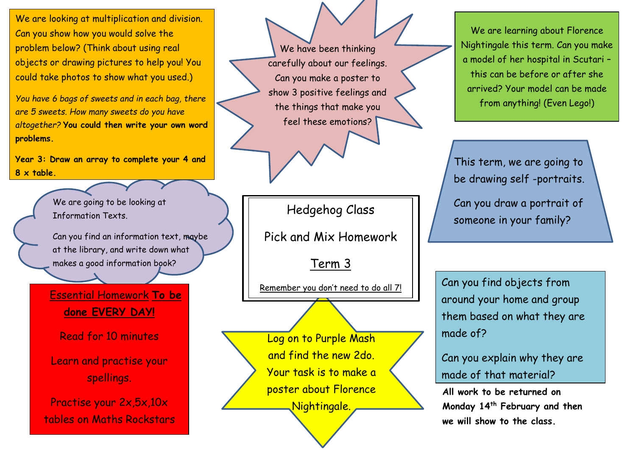We are looking at multiplication and division. Can you show how you would solve the problem below? (Think about using real objects or drawing pictures to help you! You could take photos to show what you used.)

*You have 6 bags of sweets and in each bag, there are 5 sweets. How many sweets do you have altogether?* **You could then write your own word problems.**

r **8 x table. Year 3: Draw an array to complete your 4 and** 

> We are going to be looking at Information Texts.

Can you find an information text, maybe at the library, and write down what makes a good information book?

 Essential Homework **To be done EVERY DAY!**

Read for 10 minutes

Learn and practise your spellings.

Practise your 2x,5x,10x tables on Maths Rockstars

We have been thinking carefully about our feelings. Can you make a poster to show 3 positive feelings and the things that make you feel these emotions?

Hedgehog Class

Pick and Mix Homework

Term 3

Remember you don't need to do all 7!

Log on to Purple Mash and find the new 2do. Your task is to make a poster about Florence Nightingale.

We are learning about Florence Nightingale this term. Can you make a model of her hospital in Scutari – this can be before or after she arrived? Your model can be made from anything! (Even Lego!)

This term, we are going to be drawing self -portraits.

Can you draw a portrait of someone in your family?

Can you find objects from around your home and group them based on what they are made of?

Can you explain why they are made of that material?

**All work to be returned on Monday 14th February and then we will show to the class.**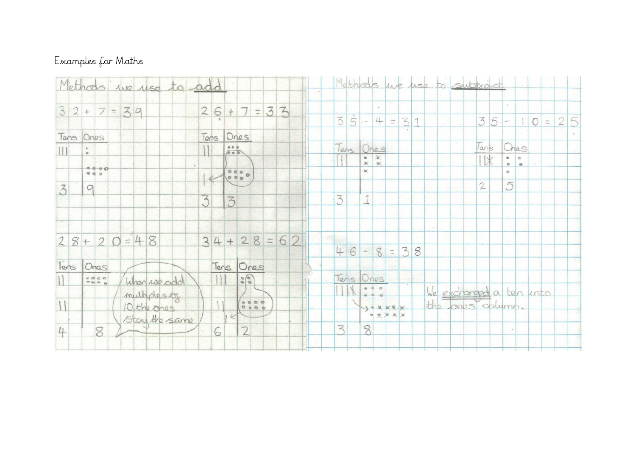## Examples for Maths

| Methods we use to add                                                                    | Methods we use to subtract                                                      |
|------------------------------------------------------------------------------------------|---------------------------------------------------------------------------------|
| $26 + 7 = 33$<br>$32+7=39$                                                               | $\sqrt{5}$<br>$\overline{3}$<br>$35-10=25$<br>4<br>$= 31$                       |
| Tens Ones<br>Tans<br>Ones<br>$rac{660}{660}$<br>   <br>$\circ$                           | Tans<br>Ches<br>Tens Ones                                                       |
| $\alpha$<br>0000<br>$\begin{smallmatrix} 0&0&0\\ 0&0&0\\ 0&0&0 \end{smallmatrix}$<br>000 | $*$<br>11米<br>$\frac{a}{K}$<br>$\frac{1}{10}$<br>$\frac{1}{2}$<br>w<br>$\alpha$ |
| $\overline{3}$<br>$\alpha$<br>3<br>3                                                     | $\mathbf{2}$<br>5<br>3<br>1                                                     |
|                                                                                          |                                                                                 |
| $34 + 28 = 62$<br>$28+20=48$                                                             | $\sim$<br>$6 - 8 = 3$<br>$4 -$<br>8                                             |
| Tens Ones<br>Tens<br>Ones<br>$\left  \frac{1}{2} \right $<br>$-000$<br>When we odd       | Tens Ones                                                                       |
| multiplesity<br>8000<br>10 the ones                                                      | We exchanged a ten into<br>$\alpha$<br>the ones column.<br>y + x x x x          |
| Stay the same<br>$\overline{2}$<br>4<br>6<br>8                                           | P<br>$\overline{\mathbf{z}}$<br>8                                               |
|                                                                                          |                                                                                 |